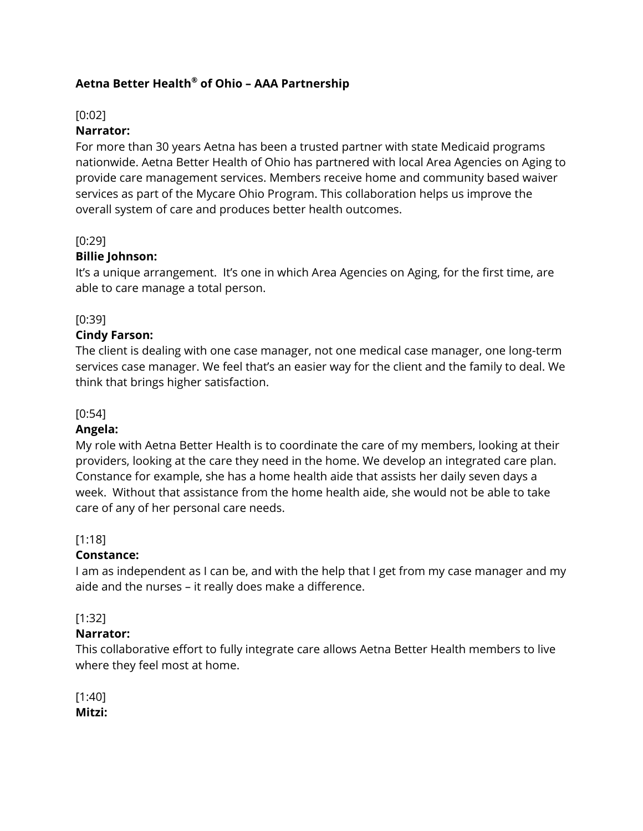# **Aetna Better Health® of Ohio – AAA Partnership**

### [0:02]

### **Narrator:**

For more than 30 years Aetna has been a trusted partner with state Medicaid programs nationwide. Aetna Better Health of Ohio has partnered with local Area Agencies on Aging to provide care management services. Members receive home and community based waiver services as part of the Mycare Ohio Program. This collaboration helps us improve the overall system of care and produces better health outcomes.

### [0:29]

### **Billie Johnson:**

It's a unique arrangement. It's one in which Area Agencies on Aging, for the first time, are able to care manage a total person.

### [0:39]

### **Cindy Farson:**

The client is dealing with one case manager, not one medical case manager, one long-term services case manager. We feel that's an easier way for the client and the family to deal. We think that brings higher satisfaction.

### [0:54]

### **Angela:**

My role with Aetna Better Health is to coordinate the care of my members, looking at their providers, looking at the care they need in the home. We develop an integrated care plan. Constance for example, she has a home health aide that assists her daily seven days a week. Without that assistance from the home health aide, she would not be able to take care of any of her personal care needs.

### [1:18]

### **Constance:**

I am as independent as I can be, and with the help that I get from my case manager and my aide and the nurses – it really does make a difference.

### [1:32]

### **Narrator:**

This collaborative effort to fully integrate care allows Aetna Better Health members to live where they feel most at home.

[1:40] **Mitzi:**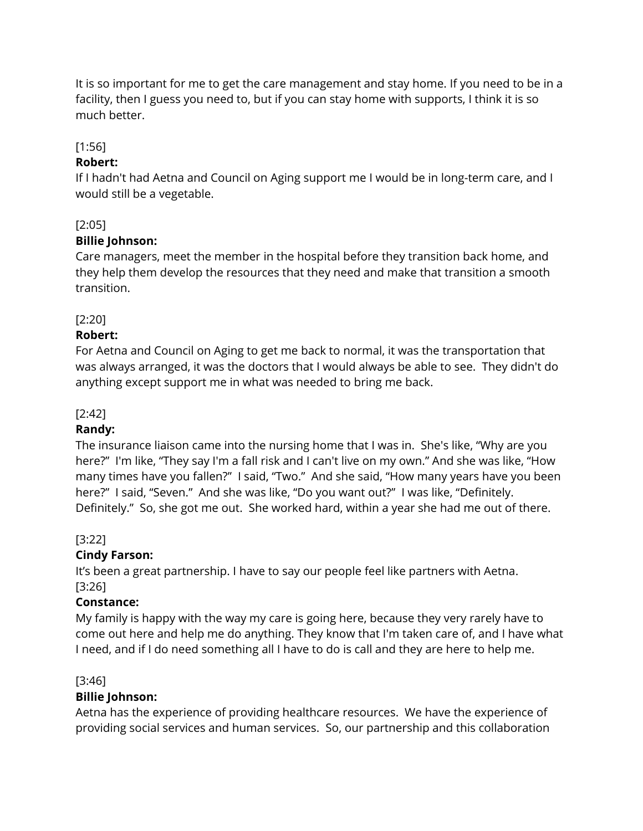It is so important for me to get the care management and stay home. If you need to be in a facility, then I guess you need to, but if you can stay home with supports, I think it is so much better.

# [1:56]

### **Robert:**

If I hadn't had Aetna and Council on Aging support me I would be in long-term care, and I would still be a vegetable.

# [2:05]

### **Billie Johnson:**

Care managers, meet the member in the hospital before they transition back home, and they help them develop the resources that they need and make that transition a smooth transition.

### [2:20]

### **Robert:**

For Aetna and Council on Aging to get me back to normal, it was the transportation that was always arranged, it was the doctors that I would always be able to see. They didn't do anything except support me in what was needed to bring me back.

### [2:42]

# **Randy:**

The insurance liaison came into the nursing home that I was in. She's like, "Why are you here?" I'm like, "They say I'm a fall risk and I can't live on my own." And she was like, "How many times have you fallen?" I said, "Two." And she said, "How many years have you been here?" I said, "Seven." And she was like, "Do you want out?" I was like, "Definitely. Definitely." So, she got me out. She worked hard, within a year she had me out of there.

### [3:22]

# **Cindy Farson:**

It's been a great partnership. I have to say our people feel like partners with Aetna. [3:26]

# **Constance:**

My family is happy with the way my care is going here, because they very rarely have to come out here and help me do anything. They know that I'm taken care of, and I have what I need, and if I do need something all I have to do is call and they are here to help me.

# [3:46]

# **Billie Johnson:**

Aetna has the experience of providing healthcare resources. We have the experience of providing social services and human services. So, our partnership and this collaboration